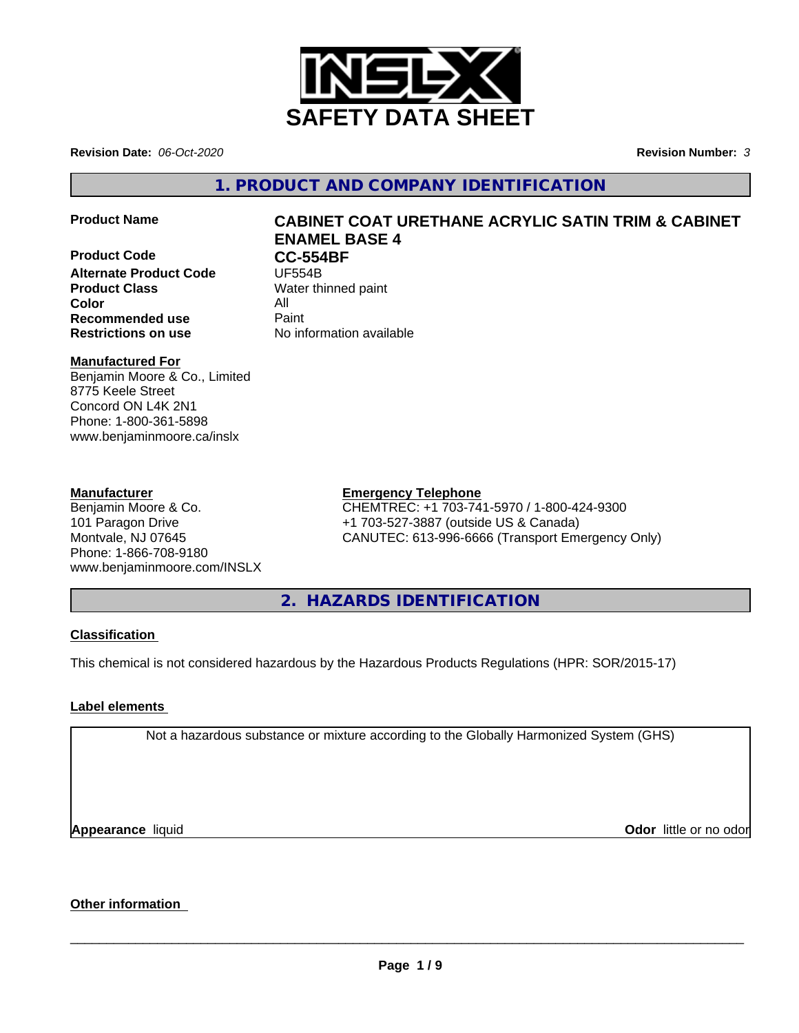

**Revision Date:** *06-Oct-2020* **Revision Number:** *3*

**1. PRODUCT AND COMPANY IDENTIFICATION**

**Product Code CC-554BF**<br>Alternate Product Code **UF554B Alternate Product Code Product Class** Water thinned paint **Color** All **Recommended use** Paint

# **Product Name CABINET COAT URETHANE ACRYLIC SATIN TRIM & CABINET ENAMEL BASE 4**

**Restrictions on use** No information available

# **Manufactured For**

Benjamin Moore & Co., Limited 8775 Keele Street Concord ON L4K 2N1 Phone: 1-800-361-5898 www.benjaminmoore.ca/inslx

# **Manufacturer**

Benjamin Moore & Co. 101 Paragon Drive Montvale, NJ 07645 Phone: 1-866-708-9180 www.benjaminmoore.com/INSLX

# **Emergency Telephone**

CHEMTREC: +1 703-741-5970 / 1-800-424-9300 +1 703-527-3887 (outside US & Canada) CANUTEC: 613-996-6666 (Transport Emergency Only)

**2. HAZARDS IDENTIFICATION**

# **Classification**

This chemical is not considered hazardous by the Hazardous Products Regulations (HPR: SOR/2015-17)

# **Label elements**

Not a hazardous substance or mixture according to the Globally Harmonized System (GHS)

**Appearance** liquid

**Odor** little or no odor

# **Other information**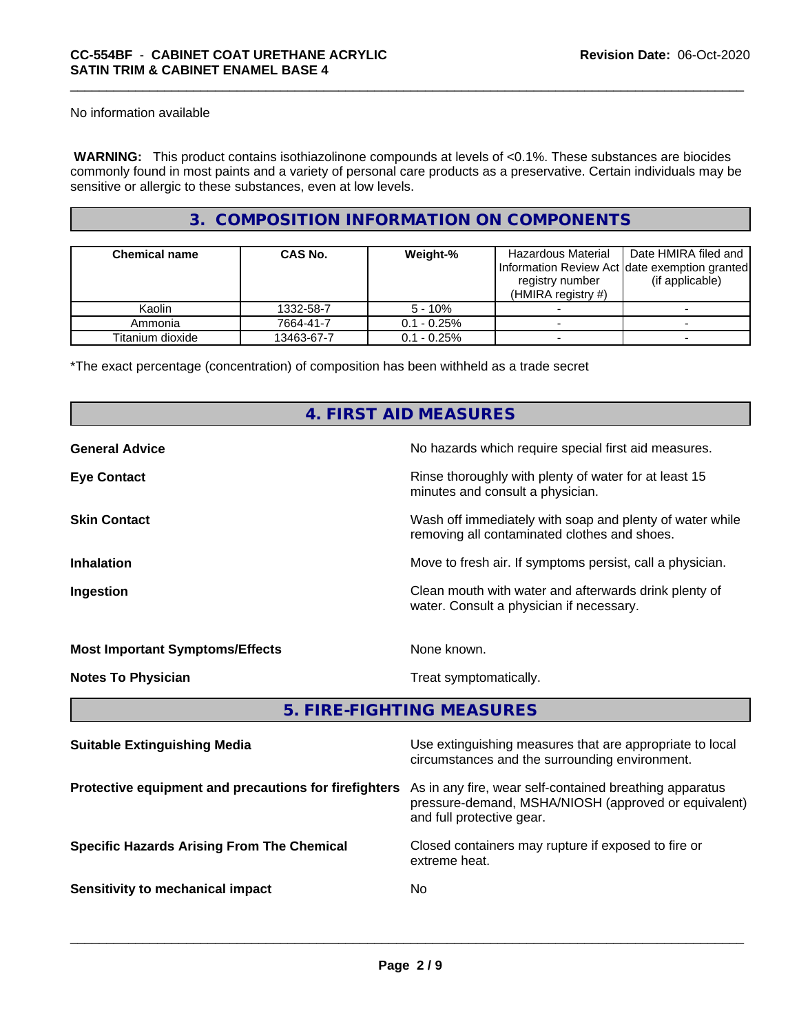No information available

 **WARNING:** This product contains isothiazolinone compounds at levels of <0.1%. These substances are biocides commonly found in most paints and a variety of personal care products as a preservative. Certain individuals may be sensitive or allergic to these substances, even at low levels.

# **3. COMPOSITION INFORMATION ON COMPONENTS**

| <b>Chemical name</b> | <b>CAS No.</b> | Weight-%       | Hazardous Material<br>Information Review Act date exemption granted<br>registry number<br>(HMIRA registry $#$ ) | Date HMIRA filed and<br>(if applicable) |
|----------------------|----------------|----------------|-----------------------------------------------------------------------------------------------------------------|-----------------------------------------|
| Kaolin               | 1332-58-7      | $5 - 10%$      |                                                                                                                 |                                         |
| Ammonia              | 7664-41-7      | $0.1 - 0.25\%$ |                                                                                                                 |                                         |
| Titanium dioxide     | 13463-67-7     | $0.1 - 0.25%$  |                                                                                                                 |                                         |

\*The exact percentage (concentration) of composition has been withheld as a trade secret

# **4. FIRST AID MEASURES**

| <b>General Advice</b>                  | No hazards which require special first aid measures.                                                     |
|----------------------------------------|----------------------------------------------------------------------------------------------------------|
| <b>Eye Contact</b>                     | Rinse thoroughly with plenty of water for at least 15<br>minutes and consult a physician.                |
| <b>Skin Contact</b>                    | Wash off immediately with soap and plenty of water while<br>removing all contaminated clothes and shoes. |
| <b>Inhalation</b>                      | Move to fresh air. If symptoms persist, call a physician.                                                |
| Ingestion                              | Clean mouth with water and afterwards drink plenty of<br>water. Consult a physician if necessary.        |
| <b>Most Important Symptoms/Effects</b> | None known.                                                                                              |
| <b>Notes To Physician</b>              | Treat symptomatically.                                                                                   |
|                                        | 5. FIRE-FIGHTING MEASURES                                                                                |

| <b>Suitable Extinguishing Media</b>                   | Use extinguishing measures that are appropriate to local<br>circumstances and the surrounding environment.                                   |
|-------------------------------------------------------|----------------------------------------------------------------------------------------------------------------------------------------------|
| Protective equipment and precautions for firefighters | As in any fire, wear self-contained breathing apparatus<br>pressure-demand, MSHA/NIOSH (approved or equivalent)<br>and full protective gear. |
| <b>Specific Hazards Arising From The Chemical</b>     | Closed containers may rupture if exposed to fire or<br>extreme heat.                                                                         |
| Sensitivity to mechanical impact                      | No.                                                                                                                                          |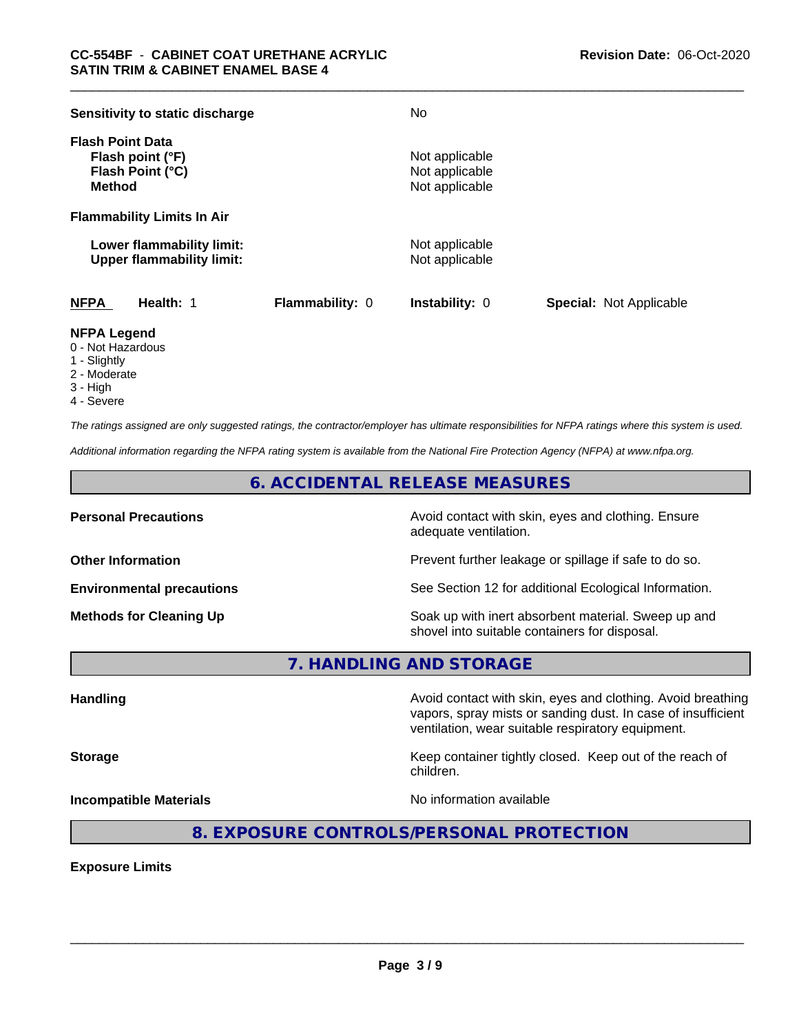| Sensitivity to static discharge                                                  |                        | No                                                 |                                |
|----------------------------------------------------------------------------------|------------------------|----------------------------------------------------|--------------------------------|
| <b>Flash Point Data</b><br>Flash point (°F)<br>Flash Point (°C)<br><b>Method</b> |                        | Not applicable<br>Not applicable<br>Not applicable |                                |
| <b>Flammability Limits In Air</b>                                                |                        |                                                    |                                |
| Lower flammability limit:<br><b>Upper flammability limit:</b>                    |                        | Not applicable<br>Not applicable                   |                                |
| <b>NFPA</b><br>Health: 1                                                         | <b>Flammability: 0</b> | <b>Instability: 0</b>                              | <b>Special: Not Applicable</b> |

# **NFPA Legend**

- 0 Not Hazardous
- 1 Slightly
- 2 Moderate
- 3 High
- 4 Severe

*The ratings assigned are only suggested ratings, the contractor/employer has ultimate responsibilities for NFPA ratings where this system is used.*

*Additional information regarding the NFPA rating system is available from the National Fire Protection Agency (NFPA) at www.nfpa.org.*

# **6. ACCIDENTAL RELEASE MEASURES**

**Personal Precautions Precautions** Avoid contact with skin, eyes and clothing. Ensure adequate ventilation.

**Other Information Other Information Prevent further leakage or spillage if safe to do so.** 

**Environmental precautions** See Section 12 for additional Ecological Information.

**Methods for Cleaning Up Example 20 Soak** up with inert absorbent material. Sweep up and shovel into suitable containers for disposal.

vapors, spray mists or sanding dust. In case of insufficient

ventilation, wear suitable respiratory equipment.

**7. HANDLING AND STORAGE**

**Handling Avoid contact with skin, eyes and clothing. Avoid breathing Handling Avoid breathing** 

**Storage Keep container tightly closed.** Keep out of the reach of

children.

**Incompatible Materials Incompatible Materials No information available** 

 $\overline{\phantom{a}}$  ,  $\overline{\phantom{a}}$  ,  $\overline{\phantom{a}}$  ,  $\overline{\phantom{a}}$  ,  $\overline{\phantom{a}}$  ,  $\overline{\phantom{a}}$  ,  $\overline{\phantom{a}}$  ,  $\overline{\phantom{a}}$  ,  $\overline{\phantom{a}}$  ,  $\overline{\phantom{a}}$  ,  $\overline{\phantom{a}}$  ,  $\overline{\phantom{a}}$  ,  $\overline{\phantom{a}}$  ,  $\overline{\phantom{a}}$  ,  $\overline{\phantom{a}}$  ,  $\overline{\phantom{a}}$ 

**8. EXPOSURE CONTROLS/PERSONAL PROTECTION**

**Exposure Limits**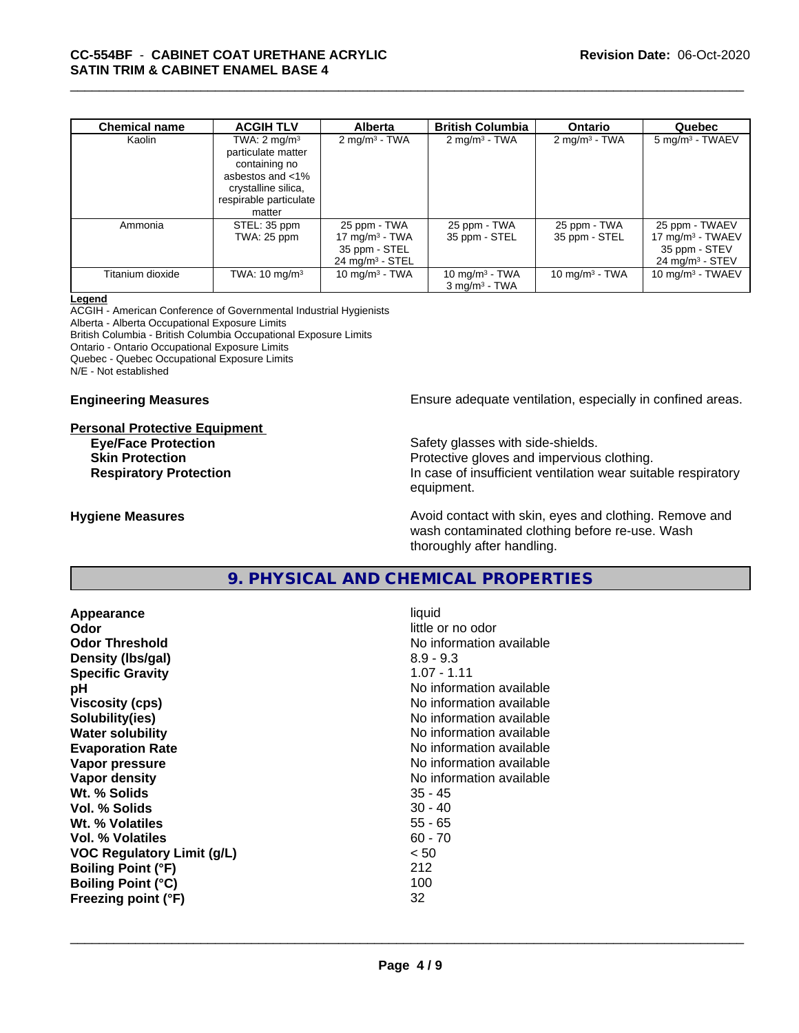| Chemical name    | <b>ACGIH TLV</b>         | Alberta                    | <b>British Columbia</b>  | <b>Ontario</b>           | Quebec                        |
|------------------|--------------------------|----------------------------|--------------------------|--------------------------|-------------------------------|
| Kaolin           | TWA: $2 \text{ mg/m}^3$  | $2 \text{ mg/m}^3$ - TWA   | $2 \text{ mg/m}^3$ - TWA | $2 \text{ mg/m}^3$ - TWA | $5 \text{ mg/m}^3$ - TWAEV    |
|                  | particulate matter       |                            |                          |                          |                               |
|                  | containing no            |                            |                          |                          |                               |
|                  | asbestos and <1%         |                            |                          |                          |                               |
|                  | crystalline silica,      |                            |                          |                          |                               |
|                  | respirable particulate   |                            |                          |                          |                               |
|                  | matter                   |                            |                          |                          |                               |
| Ammonia          | STEL: 35 ppm             | 25 ppm - TWA               | 25 ppm - TWA             | 25 ppm - TWA             | 25 ppm - TWAEV                |
|                  | TWA: 25 ppm              | 17 mg/m <sup>3</sup> - TWA | 35 ppm - STEL            | 35 ppm - STEL            | 17 mg/m <sup>3</sup> - TWAEV  |
|                  |                          | 35 ppm - STEL              |                          |                          | 35 ppm - STEV                 |
|                  |                          | $24 \text{ mg/m}^3$ - STEL |                          |                          | $24$ mg/m <sup>3</sup> - STEV |
| Titanium dioxide | TWA: $10 \text{ mg/m}^3$ | 10 mg/m $3$ - TWA          | 10 mg/m $3$ - TWA        | 10 mg/m $3$ - TWA        | 10 mg/m $3$ - TWAEV           |
|                  |                          |                            | $3 \text{ ma/m}^3$ - TWA |                          |                               |

#### **Legend**

ACGIH - American Conference of Governmental Industrial Hygienists Alberta - Alberta Occupational Exposure Limits British Columbia - British Columbia Occupational Exposure Limits

Ontario - Ontario Occupational Exposure Limits

Quebec - Quebec Occupational Exposure Limits

N/E - Not established

#### **Personal Protective Equipment**

**Engineering Measures Ensure** Ensure adequate ventilation, especially in confined areas.

**Eye/Face Protection Safety glasses with side-shields. Skin Protection Protection Protective gloves and impervious clothing. Respiratory Protection In case of insufficient ventilation wear suitable respiratory** equipment.

**Hygiene Measures Avoid contact with skin, eyes and clothing. Remove and Avoid contact with skin, eyes and clothing. Remove and Avoid contact with skin, eyes and clothing. Remove and** wash contaminated clothing before re-use. Wash thoroughly after handling.

# **9. PHYSICAL AND CHEMICAL PROPERTIES**

**Appearance** liquid **Odor** little or no odor **Odor Threshold** No information available **Density (Ibs/gal)** 8.9 - 9.3 **Specific Gravity** 1.07 - 1.11 **pH** No information available **Viscosity (cps)** No information available **Solubility(ies)** No information available **Water solubility** No information available **Evaporation Rate Evaporation Rate No information available Vapor pressure** No information available **No information** available **Vapor density No information available No information available Wt. % Solids** 35 - 45 **Vol. % Solids** 30 - 40 **Wt. % Volatiles** 55 - 65 **Vol. % Volatiles** 60 - 70 **VOC Regulatory Limit (g/L)** < 50 **Boiling Point (°F)** 212 **Boiling Point (°C)** 100 **Freezing point (°F)** 32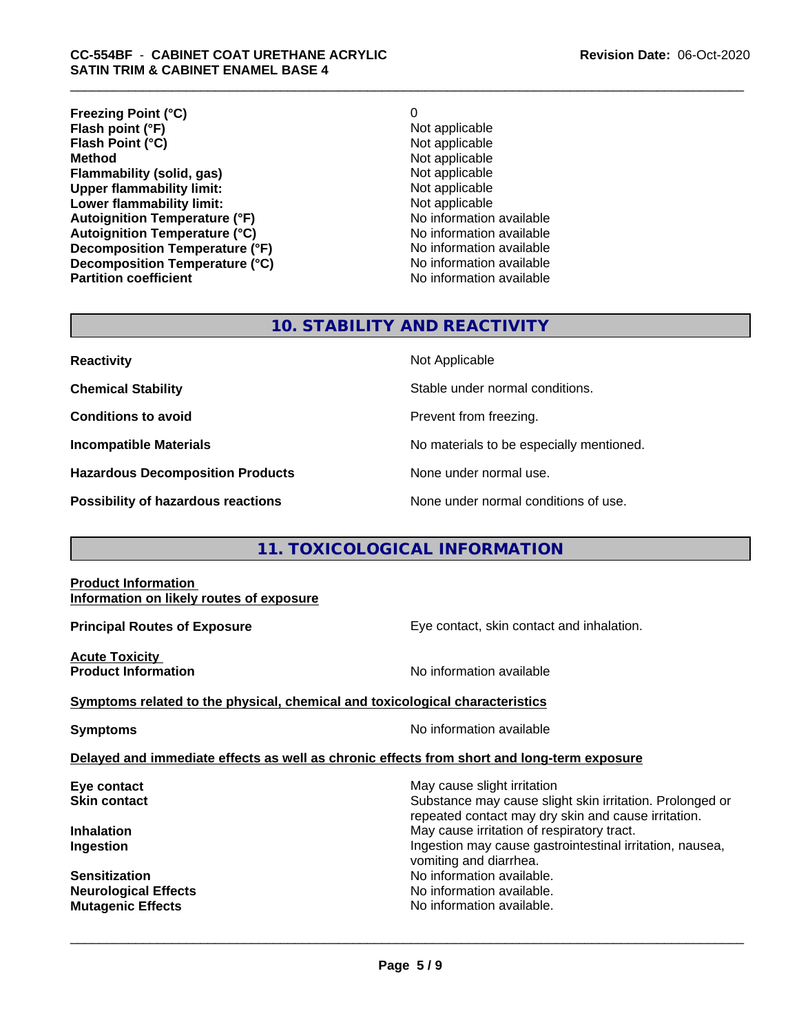| O                        |
|--------------------------|
| Not applicable           |
| Not applicable           |
| Not applicable           |
| Not applicable           |
| Not applicable           |
| Not applicable           |
| No information available |
| No information available |
| No information available |
| No information available |
| No information available |
|                          |

# **10. STABILITY AND REACTIVITY**

| <b>Reactivity</b>                         | Not Applicable                           |
|-------------------------------------------|------------------------------------------|
| <b>Chemical Stability</b>                 | Stable under normal conditions.          |
| <b>Conditions to avoid</b>                | Prevent from freezing.                   |
| <b>Incompatible Materials</b>             | No materials to be especially mentioned. |
| <b>Hazardous Decomposition Products</b>   | None under normal use.                   |
| <b>Possibility of hazardous reactions</b> | None under normal conditions of use.     |

# **11. TOXICOLOGICAL INFORMATION**

#### **Product Information Information on likely routes of exposure**

**Principal Routes of Exposure Exposure** Eye contact, skin contact and inhalation.

**Acute Toxicity** 

**Product Information Information No information available** 

## **Symptoms related to the physical,chemical and toxicological characteristics**

**Symptoms** No information available

 $\overline{\phantom{a}}$  ,  $\overline{\phantom{a}}$  ,  $\overline{\phantom{a}}$  ,  $\overline{\phantom{a}}$  ,  $\overline{\phantom{a}}$  ,  $\overline{\phantom{a}}$  ,  $\overline{\phantom{a}}$  ,  $\overline{\phantom{a}}$  ,  $\overline{\phantom{a}}$  ,  $\overline{\phantom{a}}$  ,  $\overline{\phantom{a}}$  ,  $\overline{\phantom{a}}$  ,  $\overline{\phantom{a}}$  ,  $\overline{\phantom{a}}$  ,  $\overline{\phantom{a}}$  ,  $\overline{\phantom{a}}$ 

### **Delayed and immediate effects as well as chronic effects from short and long-term exposure**

**Eye contact Exercise Solution** May cause slight irritation **Skin contact** Substance may cause slight skin irritation. Prolonged or repeated contact may dry skin and cause irritation. **Inhalation Inhalation Inhalation May cause irritation of respiratory tract. Ingestion Ingestion Ingestion may cause gastrointestinal irritation, nausea,** vomiting and diarrhea. **Sensitization No information available.** No information available. **Neurological Effects** Noinformation available. **Mutagenic Effects Mutagenic Effects No information available.**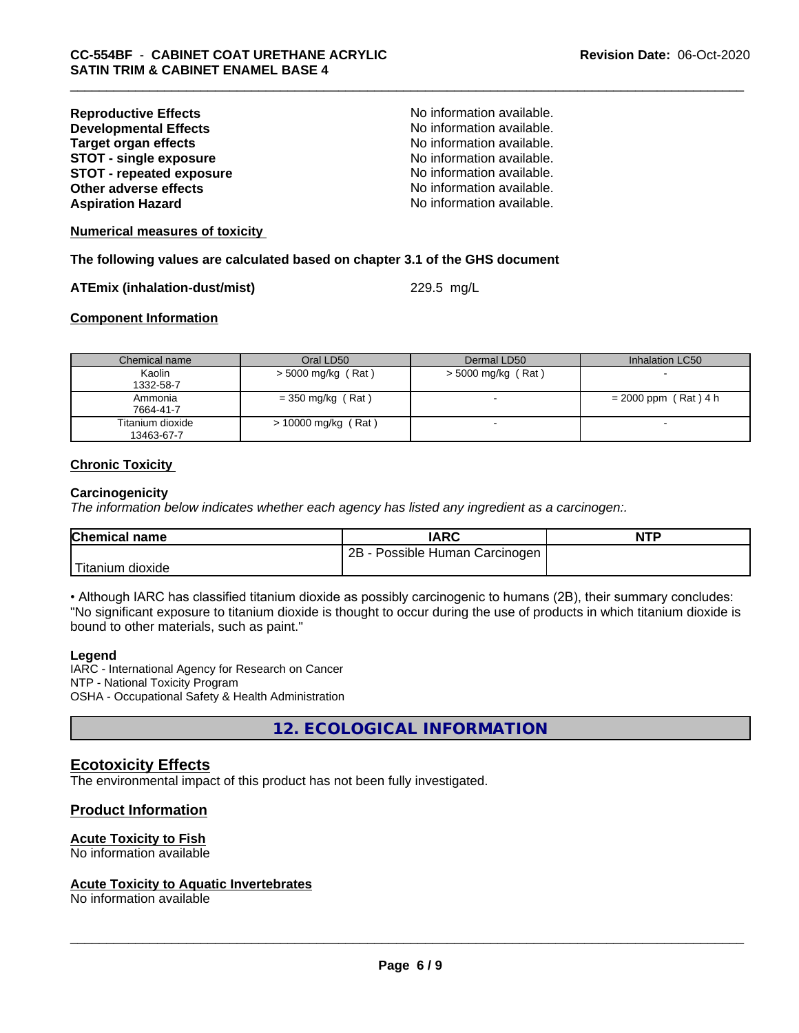| No information available. |
|---------------------------|
| No information available. |
| No information available. |
| No information available. |
| No information available. |
| No information available. |
| No information available. |
|                           |

**Numerical measures of toxicity**

**The following values are calculated based on chapter 3.1 of the GHS document**

#### **ATEmix (inhalation-dust/mist)** 229.5 mg/L

# **Component Information**

| Chemical name                  | Oral LD50             | Dermal LD50          | Inhalation LC50        |
|--------------------------------|-----------------------|----------------------|------------------------|
| Kaolin<br>1332-58-7            | > 5000 mg/kg (Rat)    | $>$ 5000 mg/kg (Rat) |                        |
| Ammonia<br>7664-41-7           | $=$ 350 mg/kg (Rat)   |                      | $= 2000$ ppm (Rat) 4 h |
| Titanium dioxide<br>13463-67-7 | $> 10000$ mg/kg (Rat) |                      |                        |

### **Chronic Toxicity**

#### **Carcinogenicity**

*The information below indicateswhether each agency has listed any ingredient as a carcinogen:.*

| <b>Chemical name</b>   | <b>IARC</b>                     | <b>NTP</b> |
|------------------------|---------------------------------|------------|
|                        | 2B<br>Possible Human Carcinogen |            |
| Titanium J<br>⊧dioxide |                                 |            |

• Although IARC has classified titanium dioxide as possibly carcinogenic to humans (2B), their summary concludes: "No significant exposure to titanium dioxide is thought to occur during the use of products in which titanium dioxide is bound to other materials, such as paint."

#### **Legend**

IARC - International Agency for Research on Cancer NTP - National Toxicity Program OSHA - Occupational Safety & Health Administration

**12. ECOLOGICAL INFORMATION**

# **Ecotoxicity Effects**

The environmental impact of this product has not been fully investigated.

# **Product Information**

## **Acute Toxicity to Fish**

No information available

#### **Acute Toxicity to Aquatic Invertebrates**

No information available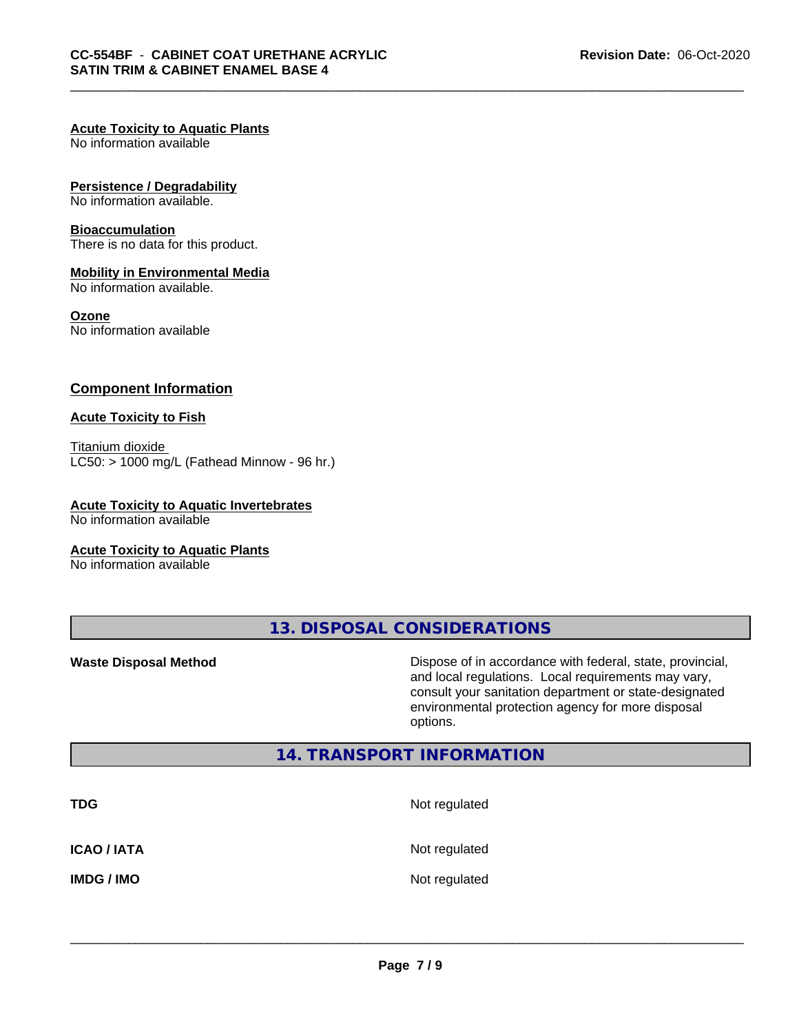## **Acute Toxicity to Aquatic Plants**

No information available

#### **Persistence / Degradability**

No information available.

#### **Bioaccumulation**

There is no data for this product.

#### **Mobility in Environmental Media**

No information available.

#### **Ozone**

No information available

## **Component Information**

#### **Acute Toxicity to Fish**

Titanium dioxide  $LC50:$  > 1000 mg/L (Fathead Minnow - 96 hr.)

## **Acute Toxicity to Aquatic Invertebrates**

No information available

#### **Acute Toxicity to Aquatic Plants**

No information available

**13. DISPOSAL CONSIDERATIONS**

**Waste Disposal Method Dispose of in accordance with federal, state, provincial,** and local regulations. Local requirements may vary, consult your sanitation department or state-designated environmental protection agency for more disposal options.

# **14. TRANSPORT INFORMATION**

| <b>TDG</b>         | Not regulated |
|--------------------|---------------|
| <b>ICAO / IATA</b> | Not regulated |
| <b>IMDG / IMO</b>  | Not regulated |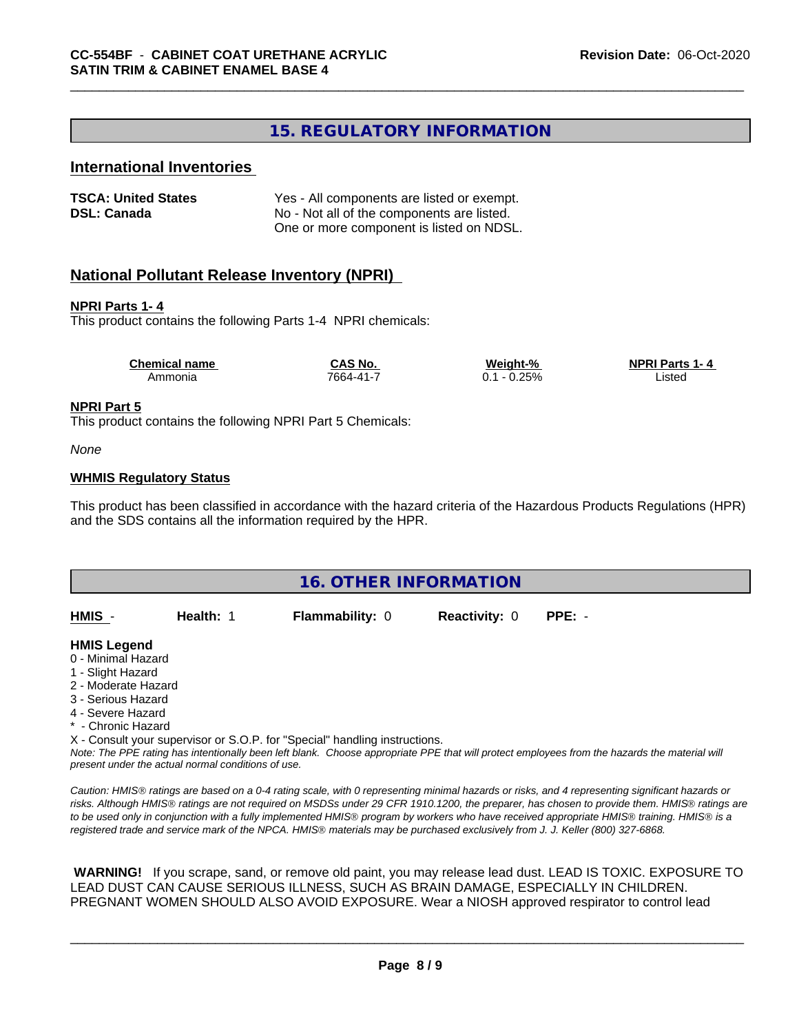# **15. REGULATORY INFORMATION**

# **International Inventories**

| <b>TSCA: United States</b> | Yes - All components are listed or exempt. |
|----------------------------|--------------------------------------------|
| <b>DSL: Canada</b>         | No - Not all of the components are listed. |
|                            | One or more component is listed on NDSL.   |

# **National Pollutant Release Inventory (NPRI)**

#### **NPRI Parts 1- 4**

This product contains the following Parts 1-4 NPRI chemicals:

| <b>Chemical name</b> | <b>CAS No.</b> | Weight-%             | <b>NPRI Parts 1-4</b> |
|----------------------|----------------|----------------------|-----------------------|
| Ammonia              | 7664-41-7      | 0.25%<br>- 0<br>∪. ∣ | _isted                |

#### **NPRI Part 5**

This product contains the following NPRI Part 5 Chemicals:

*None*

#### **WHMIS Regulatory Status**

This product has been classified in accordance with the hazard criteria of the Hazardous Products Regulations (HPR) and the SDS contains all the information required by the HPR.



*Note: The PPE rating has intentionally been left blank. Choose appropriate PPE that will protect employees from the hazards the material will present under the actual normal conditions of use.*

*Caution: HMISÒ ratings are based on a 0-4 rating scale, with 0 representing minimal hazards or risks, and 4 representing significant hazards or risks. Although HMISÒ ratings are not required on MSDSs under 29 CFR 1910.1200, the preparer, has chosen to provide them. HMISÒ ratings are to be used only in conjunction with a fully implemented HMISÒ program by workers who have received appropriate HMISÒ training. HMISÒ is a registered trade and service mark of the NPCA. HMISÒ materials may be purchased exclusively from J. J. Keller (800) 327-6868.*

 **WARNING!** If you scrape, sand, or remove old paint, you may release lead dust. LEAD IS TOXIC. EXPOSURE TO LEAD DUST CAN CAUSE SERIOUS ILLNESS, SUCH AS BRAIN DAMAGE, ESPECIALLY IN CHILDREN. PREGNANT WOMEN SHOULD ALSO AVOID EXPOSURE.Wear a NIOSH approved respirator to control lead